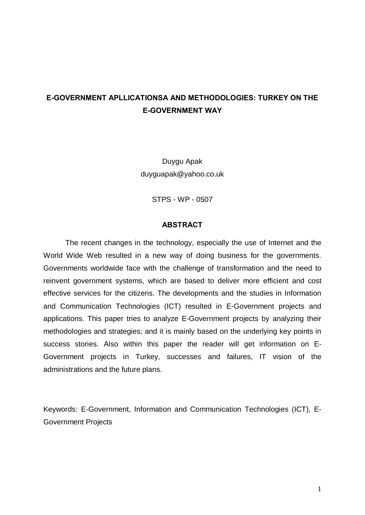# E-GOVERNMENT APLLICATIONSA AND METHODOLOGIES: TURKEY ON THE E-GOVERNMENT WAY

Duygu Apak [duyguapak@yahoo.co.uk](mailto:duyguapak@yahoo.co.uk)

STPS - WP - 0507

#### ABSTRACT

The recent changes in the technology, especially the use of Internet and the World Wide Web resulted in a new way of doing business for the governments. Governments worldwide face with the challenge of transformation and the need to reinvent government systems, which are based to deliver more efficient and cost effective services for the citizens. The developments and the studies in Information and Communication Technologies (ICT) resulted in E-Government projects and applications. This paper tries to analyze E-Government projects by analyzing their methodologies and strategies; and it is mainly based on the underlying key points in success stories. Also within this paper the reader will get information on E- Government projects in Turkey, successes and failures, IT vision of the administrations and the future plans.

Keywords: E-Government, Information and Communication Technologies (ICT), E- Government Projects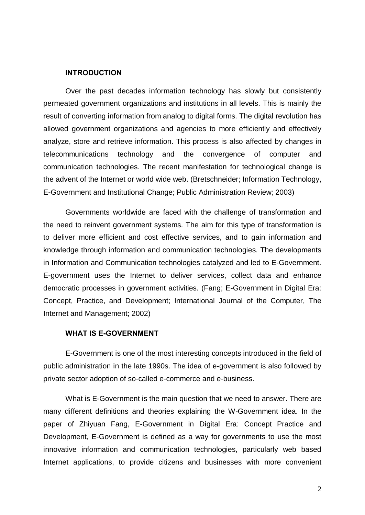#### INTRODUCTION

Over the past decades information technology has slowly but consistently permeated government organizations and institutions in all levels. This is mainly the result of converting information from analog to digital forms. The digital revolution has allowed government organizations and agencies to more efficiently and effectively analyze, store and retrieve information. This process is also affected by changes in telecommunications technology and the convergence of computer and communication technologies. The recent manifestation for technological change is the advent of the Internet or world wide web. (Bretschneider; Information Technology, E-Government and Institutional Change; Public Administration Review; 2003)

Governments worldwide are faced with the challenge of transformation and the need to reinvent government systems. The aim for this type of transformation is to deliver more efficient and cost effective services, and to gain information and knowledge through information and communication technologies. The developments in Information and Communication technologies catalyzed and led to E-Government. E-government uses the Internet to deliver services, collect data and enhance democratic processes in government activities. (Fang; E-Government in Digital Era: Concept, Practice, and Development; International Journal of the Computer, The Internet and Management; 2002)

#### WHAT IS E-GOVERNMENT

E-Government is one of the most interesting concepts introduced in the field of public administration in the late 1990s. The idea of e-government is also followed by private sector adoption of so-called e-commerce and e-business.

What is E-Government is the main question that we need to answer. There are many different definitions and theories explaining the W-Government idea. In the paper of Zhiyuan Fang, E-Government in Digital Era: Concept Practice and Development, E-Government is defined as a way for governments to use the most innovative information and communication technologies, particularly web based Internet applications, to provide citizens and businesses with more convenient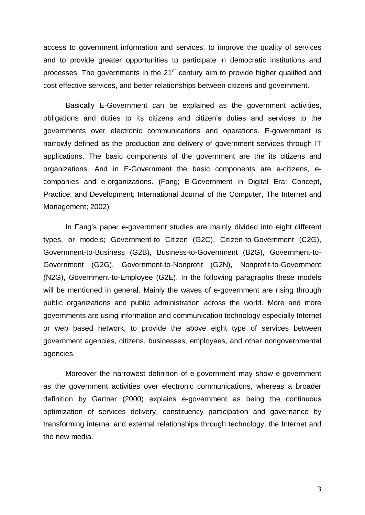access to government information and services, to improve the quality of services and to provide greater opportunities to participate in democratic institutions and processes. The governments in the 21<sup>st</sup> century aim to provide higher qualified and cost effective services, and better relationships between citizens and government.

Basically E-Government can be explained as the government activities, obligations and duties to its citizens and citizen's duties and services to the governments over electronic communications and operations. E-government is narrowly defined as the production and delivery of government services through IT applications. The basic components of the government are the its citizens and organizations. And in E-Government the basic components are e-citizens, ecompanies and e-organizations. (Fang; E-Government in Digital Era: Concept, Practice, and Development; International Journal of the Computer, The Internet and Management; 2002)

In Fangís paper e-government studies are mainly divided into eight different types, or models; Government-to Citizen (G2C), Citizen-to-Government (C2G), Government-to-Business (G2B), Business-to-Government (B2G), Government-to- Government (G2G), Government-to-Nonprofit (G2N), Nonprofit-to-Government (N2G), Government-to-Employee (G2E). In the following paragraphs these models will be mentioned in general. Mainly the waves of e-government are rising through public organizations and public administration across the world. More and more governments are using information and communication technology especially Internet or web based network, to provide the above eight type of services between government agencies, citizens, businesses, employees, and other nongovernmental agencies.

Moreover the narrowest definition of e-government may show e-government as the government activities over electronic communications, whereas a broader definition by Gartner (2000) explains e-government as being the continuous optimization of services delivery, constituency participation and governance by transforming internal and external relationships through technology, the Internet and the new media.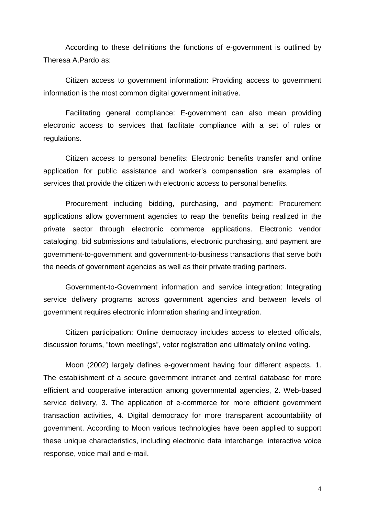According to these definitions the functions of e-government is outlined by Theresa A.Pardo as:

Citizen access to government information: Providing access to government information is the most common digital government initiative.

Facilitating general compliance: E-government can also mean providing electronic access to services that facilitate compliance with a set of rules or regulations.

Citizen access to personal benefits: Electronic benefits transfer and online application for public assistance and worker's compensation are examples of services that provide the citizen with electronic access to personal benefits.

Procurement including bidding, purchasing, and payment: Procurement applications allow government agencies to reap the benefits being realized in the private sector through electronic commerce applications. Electronic vendor cataloging, bid submissions and tabulations, electronic purchasing, and payment are government-to-government and government-to-business transactions that serve both the needs of government agencies as well as their private trading partners.

Government-to-Government information and service integration: Integrating service delivery programs across government agencies and between levels of government requires electronic information sharing and integration.

Citizen participation: Online democracy includes access to elected officials, discussion forums, "town meetings", voter registration and ultimately online voting.

Moon (2002) largely defines e-government having four different aspects. 1. The establishment of a secure government intranet and central database for more efficient and cooperative interaction among governmental agencies, 2. Web-based service delivery, 3. The application of e-commerce for more efficient government transaction activities, 4. Digital democracy for more transparent accountability of government. According to Moon various technologies have been applied to support these unique characteristics, including electronic data interchange, interactive voice response, voice mail and e-mail.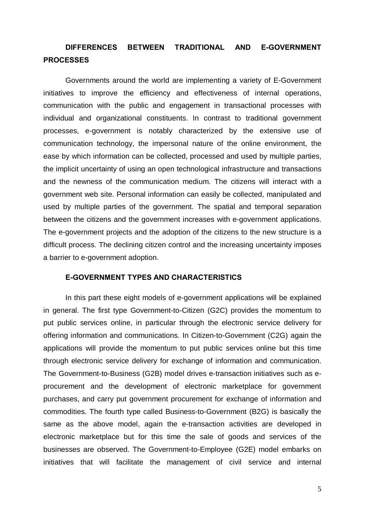# DIFFERENCES BETWEEN TRADITIONAL AND E-GOVERNMENT **PROCESSES**

Governments around the world are implementing a variety of E-Government initiatives to improve the efficiency and effectiveness of internal operations, communication with the public and engagement in transactional processes with individual and organizational constituents. In contrast to traditional government processes, e-government is notably characterized by the extensive use of communication technology, the impersonal nature of the online environment, the ease by which information can be collected, processed and used by multiple parties, the implicit uncertainty of using an open technological infrastructure and transactions and the newness of the communication medium. The citizens will interact with a government web site. Personal information can easily be collected, manipulated and used by multiple parties of the government. The spatial and temporal separation between the citizens and the government increases with e-government applications. The e-government projects and the adoption of the citizens to the new structure is a difficult process. The declining citizen control and the increasing uncertainty imposes a barrier to e-government adoption.

### E-GOVERNMENT TYPES AND CHARACTERISTICS

In this part these eight models of e-government applications will be explained in general. The first type Government-to-Citizen (G2C) provides the momentum to put public services online, in particular through the electronic service delivery for offering information and communications. In Citizen-to-Government (C2G) again the applications will provide the momentum to put public services online but this time through electronic service delivery for exchange of information and communication. The Government-to-Business (G2B) model drives e-transaction initiatives such as e procurement and the development of electronic marketplace for government purchases, and carry put government procurement for exchange of information and commodities. The fourth type called Business-to-Government (B2G) is basically the same as the above model, again the e-transaction activities are developed in electronic marketplace but for this time the sale of goods and services of the businesses are observed. The Government-to-Employee (G2E) model embarks on initiatives that will facilitate the management of civil service and internal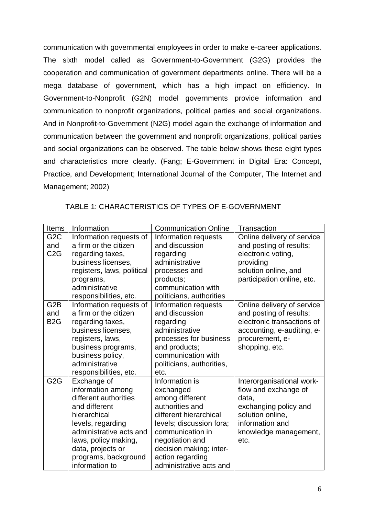communication with governmental employees in order to make e-career applications. The sixth model called as Government-to-Government (G2G) provides the cooperation and communication of government departments online. There will be a mega database of government, which has a high impact on efficiency. In Government-to-Nonprofit (G2N) model governments provide information and communication to nonprofit organizations, political parties and social organizations. And in Nonprofit-to-Government (N2G) model again the exchange of information and communication between the government and nonprofit organizations, political parties and social organizations can be observed. The table below shows these eight types and characteristics more clearly. (Fang; E-Government in Digital Era: Concept, Practice, and Development; International Journal of the Computer, The Internet and Management; 2002)

| <b>Items</b>     | Information                | <b>Communication Online</b> | Transaction                |
|------------------|----------------------------|-----------------------------|----------------------------|
| G <sub>2</sub> C | Information requests of    | Information requests        | Online delivery of service |
| and              | a firm or the citizen      | and discussion              | and posting of results;    |
| C <sub>2</sub> G | regarding taxes,           | regarding                   | electronic voting,         |
|                  | business licenses,         | administrative              | providing                  |
|                  | registers, laws, political | processes and               | solution online, and       |
|                  | programs,                  | products;                   | participation online, etc. |
|                  | administrative             | communication with          |                            |
|                  | responsibilities, etc.     | politicians, authorities    |                            |
| G <sub>2</sub> B | Information requests of    | Information requests        | Online delivery of service |
| and              | a firm or the citizen      | and discussion              | and posting of results;    |
| B <sub>2</sub> G | regarding taxes,           | regarding                   | electronic transactions of |
|                  | business licenses,         | administrative              | accounting, e-auditing, e- |
|                  | registers, laws,           | processes for business      | procurement, e-            |
|                  | business programs,         | and products;               | shopping, etc.             |
|                  | business policy,           | communication with          |                            |
|                  | administrative             | politicians, authorities,   |                            |
|                  | responsibilities, etc.     | etc.                        |                            |
| G <sub>2</sub> G | Exchange of                | Information is              | Interorganisational work-  |
|                  | information among          | exchanged                   | flow and exchange of       |
|                  | different authorities      | among different             | data,                      |
|                  | and different              | authorities and             | exchanging policy and      |
|                  | hierarchical               | different hierarchical      | solution online,           |
|                  | levels, regarding          | levels; discussion fora;    | information and            |
|                  | administrative acts and    | communication in            | knowledge management,      |
|                  | laws, policy making,       | negotiation and             | etc.                       |
|                  | data, projects or          | decision making; inter-     |                            |
|                  | programs, background       | action regarding            |                            |
|                  | information to             | administrative acts and     |                            |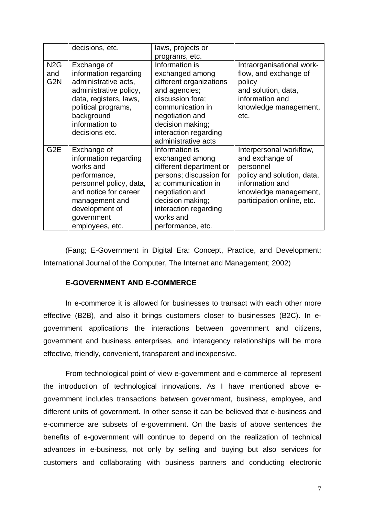|                                             | decisions, etc.                                                                                                                                                                            | laws, projects or                                                                                                                                                                                                |                                                                                                                                                                 |
|---------------------------------------------|--------------------------------------------------------------------------------------------------------------------------------------------------------------------------------------------|------------------------------------------------------------------------------------------------------------------------------------------------------------------------------------------------------------------|-----------------------------------------------------------------------------------------------------------------------------------------------------------------|
|                                             |                                                                                                                                                                                            | programs, etc.                                                                                                                                                                                                   |                                                                                                                                                                 |
| N <sub>2</sub> G<br>and<br>G <sub>2</sub> N | Exchange of<br>information regarding<br>administrative acts,<br>administrative policy,<br>data, registers, laws,<br>political programs,<br>background<br>information to<br>decisions etc.  | Information is<br>exchanged among<br>different organizations<br>and agencies;<br>discussion fora;<br>communication in<br>negotiation and<br>decision making;<br>interaction regarding<br>administrative acts     | Intraorganisational work-<br>flow, and exchange of<br>policy<br>and solution, data,<br>information and<br>knowledge management,<br>etc.                         |
| G <sub>2</sub> E                            | Exchange of<br>information regarding<br>works and<br>performance,<br>personnel policy, data,<br>and notice for career<br>management and<br>development of<br>government<br>employees, etc. | Information is<br>exchanged among<br>different department or<br>persons; discussion for<br>a; communication in<br>negotiation and<br>decision making;<br>interaction regarding<br>works and<br>performance, etc. | Interpersonal workflow,<br>and exchange of<br>personnel<br>policy and solution, data,<br>information and<br>knowledge management,<br>participation online, etc. |

(Fang; E-Government in Digital Era: Concept, Practice, and Development; International Journal of the Computer, The Internet and Management; 2002)

### E-GOVERNMENT AND E-COMMERCE

In e-commerce it is allowed for businesses to transact with each other more effective (B2B), and also it brings customers closer to businesses (B2C). In e government applications the interactions between government and citizens, government and business enterprises, and interagency relationships will be more effective, friendly, convenient, transparent and inexpensive.

From technological point of view e-government and e-commerce all represent the introduction of technological innovations. As I have mentioned above e government includes transactions between government, business, employee, and different units of government. In other sense it can be believed that e-business and e-commerce are subsets of e-government. On the basis of above sentences the benefits of e-government will continue to depend on the realization of technical advances in e-business, not only by selling and buying but also services for customers and collaborating with business partners and conducting electronic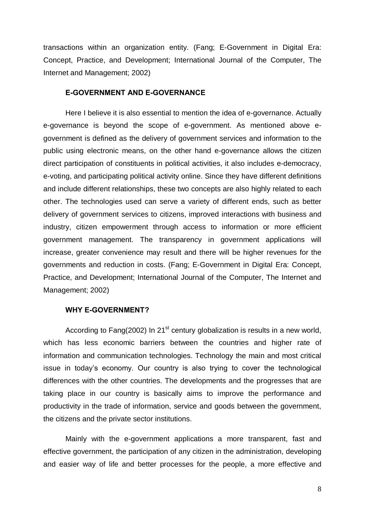transactions within an organization entity. (Fang; E-Government in Digital Era: Concept, Practice, and Development; International Journal of the Computer, The Internet and Management; 2002)

#### E-GOVERNMENT AND E-GOVERNANCE

Here I believe it is also essential to mention the idea of e-governance. Actually e-governance is beyond the scope of e-government. As mentioned above egovernment is defined as the delivery of government services and information to the public using electronic means, on the other hand e-governance allows the citizen direct participation of constituents in political activities, it also includes e-democracy, e-voting, and participating political activity online. Since they have different definitions and include different relationships, these two concepts are also highly related to each other. The technologies used can serve a variety of different ends, such as better delivery of government services to citizens, improved interactions with business and industry, citizen empowerment through access to information or more efficient government management. The transparency in government applications will increase, greater convenience may result and there will be higher revenues for the governments and reduction in costs. (Fang; E-Government in Digital Era: Concept, Practice, and Development; International Journal of the Computer, The Internet and Management; 2002)

#### WHY E-GOVERNMENT?

According to Fang(2002) In 21<sup>st</sup> century globalization is results in a new world, which has less economic barriers between the countries and higher rate of information and communication technologies. Technology the main and most critical issue in todayís economy. Our country is also trying to cover the technological differences with the other countries. The developments and the progresses that are taking place in our country is basically aims to improve the performance and productivity in the trade of information, service and goods between the government, the citizens and the private sector institutions.

Mainly with the e-government applications a more transparent, fast and effective government, the participation of any citizen in the administration, developing and easier way of life and better processes for the people, a more effective and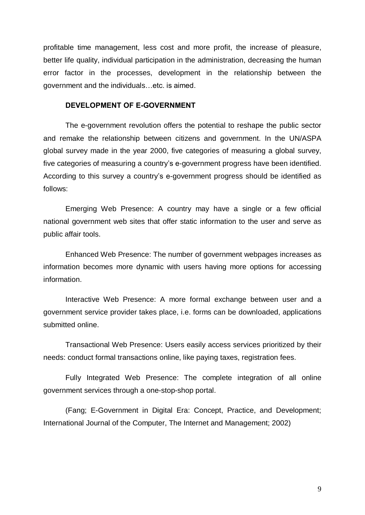profitable time management, less cost and more profit, the increase of pleasure, better life quality, individual participation in the administration, decreasing the human error factor in the processes, development in the relationship between the government and the individuals...etc. is aimed.

#### DEVELOPMENT OF E-GOVERNMENT

The e-government revolution offers the potential to reshape the public sector and remake the relationship between citizens and government. In the UN/ASPA global survey made in the year 2000, five categories of measuring a global survey, five categories of measuring a countryís e-government progress have been identified. According to this survey a countryís e-government progress should be identified as follows:

Emerging Web Presence: A country may have a single or a few official national government web sites that offer static information to the user and serve as public affair tools.

Enhanced Web Presence: The number of government webpages increases as information becomes more dynamic with users having more options for accessing information.

Interactive Web Presence: A more formal exchange between user and a government service provider takes place, i.e. forms can be downloaded, applications submitted online.

Transactional Web Presence: Users easily access services prioritized by their needs: conduct formal transactions online, like paying taxes, registration fees.

Fully Integrated Web Presence: The complete integration of all online government services through a one-stop-shop portal.

(Fang; E-Government in Digital Era: Concept, Practice, and Development; International Journal of the Computer, The Internet and Management; 2002)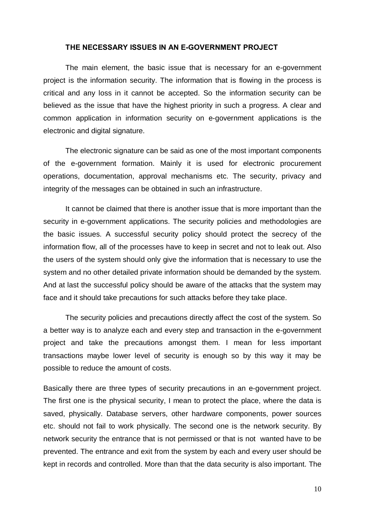#### THE NECESSARY ISSUES IN AN E-GOVERNMENT PROJECT

The main element, the basic issue that is necessary for an e-government project is the information security. The information that is flowing in the process is critical and any loss in it cannot be accepted. So the information security can be believed as the issue that have the highest priority in such a progress. A clear and common application in information security on e-government applications is the electronic and digital signature.

The electronic signature can be said as one of the most important components of the e-government formation. Mainly it is used for electronic procurement operations, documentation, approval mechanisms etc. The security, privacy and integrity of the messages can be obtained in such an infrastructure.

It cannot be claimed that there is another issue that is more important than the security in e-government applications. The security policies and methodologies are the basic issues. A successful security policy should protect the secrecy of the information flow, all of the processes have to keep in secret and not to leak out. Also the users of the system should only give the information that is necessary to use the system and no other detailed private information should be demanded by the system. And at last the successful policy should be aware of the attacks that the system may face and it should take precautions for such attacks before they take place.

The security policies and precautions directly affect the cost of the system. So a better way is to analyze each and every step and transaction in the e-government project and take the precautions amongst them. I mean for less important transactions maybe lower level of security is enough so by this way it may be possible to reduce the amount of costs.

Basically there are three types of security precautions in an e-government project. The first one is the physical security, I mean to protect the place, where the data is saved, physically. Database servers, other hardware components, power sources etc. should not fail to work physically. The second one is the network security. By network security the entrance that is not permissed or that is not wanted have to be prevented. The entrance and exit from the system by each and every user should be kept in records and controlled. More than that the data security is also important. The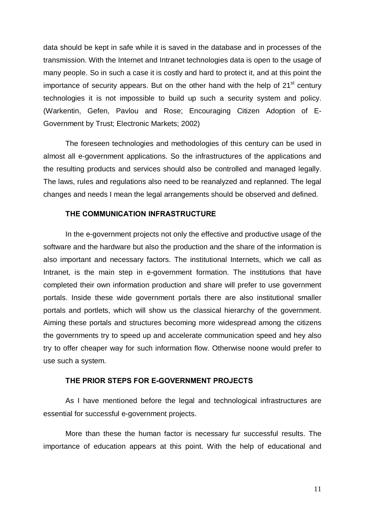data should be kept in safe while it is saved in the database and in processes of the transmission. With the Internet and Intranet technologies data is open to the usage of many people. So in such a case it is costly and hard to protect it, and at this point the importance of security appears. But on the other hand with the help of 21<sup>st</sup> century technologies it is not impossible to build up such a security system and policy. (Warkentin, Gefen, Pavlou and Rose; Encouraging Citizen Adoption of E- Government by Trust; Electronic Markets; 2002)

The foreseen technologies and methodologies of this century can be used in almost all e-government applications. So the infrastructures of the applications and the resulting products and services should also be controlled and managed legally. The laws, rules and regulations also need to be reanalyzed and replanned. The legal changes and needs I mean the legal arrangements should be observed and defined.

#### THE COMMUNICATION INFRASTRUCTURE

In the e-government projects not only the effective and productive usage of the software and the hardware but also the production and the share of the information is also important and necessary factors. The institutional Internets, which we call as Intranet, is the main step in e-government formation. The institutions that have completed their own information production and share will prefer to use government portals. Inside these wide government portals there are also institutional smaller portals and portlets, which will show us the classical hierarchy of the government. Aiming these portals and structures becoming more widespread among the citizens the governments try to speed up and accelerate communication speed and hey also try to offer cheaper way for such information flow. Otherwise noone would prefer to use such a system.

### THE PRIOR STEPS FOR E-GOVERNMENT PROJECTS

As I have mentioned before the legal and technological infrastructures are essential for successful e-government projects.

More than these the human factor is necessary fur successful results. The importance of education appears at this point. With the help of educational and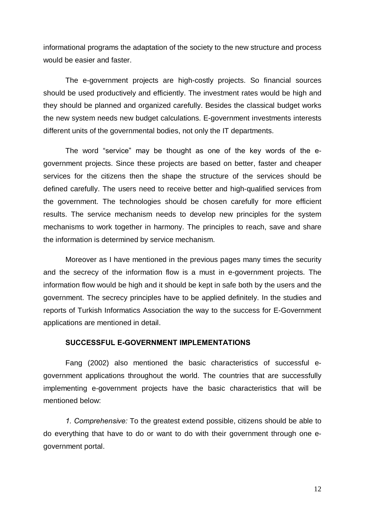informational programs the adaptation of the society to the new structure and process would be easier and faster.

The e-government projects are high-costly projects. So financial sources should be used productively and efficiently. The investment rates would be high and they should be planned and organized carefully. Besides the classical budget works the new system needs new budget calculations. E-government investments interests different units of the governmental bodies, not only the IT departments.

The word "service" may be thought as one of the key words of the egovernment projects. Since these projects are based on better, faster and cheaper services for the citizens then the shape the structure of the services should be defined carefully. The users need to receive better and high-qualified services from the government. The technologies should be chosen carefully for more efficient results. The service mechanism needs to develop new principles for the system mechanisms to work together in harmony. The principles to reach, save and share the information is determined by service mechanism.

Moreover as I have mentioned in the previous pages many times the security and the secrecy of the information flow is a must in e-government projects. The information flow would be high and it should be kept in safe both by the users and the government. The secrecy principles have to be applied definitely. In the studies and reports of Turkish Informatics Association the way to the success for E-Government applications are mentioned in detail.

### SUCCESSFUL E-GOVERNMENT IMPLEMENTATIONS

Fang (2002) also mentioned the basic characteristics of successful e government applications throughout the world. The countries that are successfully implementing e-government projects have the basic characteristics that will be mentioned below:

1. Comprehensive: To the greatest extend possible, citizens should be able to do everything that have to do or want to do with their government through one e government portal.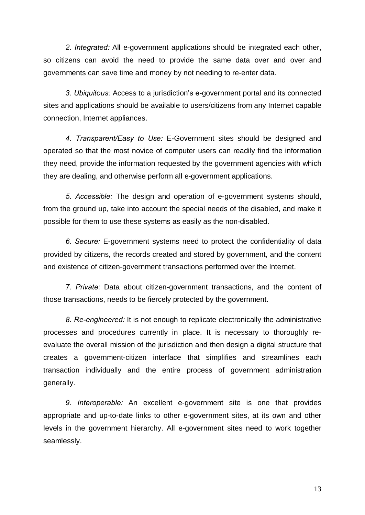2. Integrated: All e-government applications should be integrated each other, so citizens can avoid the need to provide the same data over and over and governments can save time and money by not needing to re-enter data.

3. Ubiquitous: Access to a jurisdiction's e-government portal and its connected sites and applications should be available to users/citizens from any Internet capable connection, Internet appliances.

4. Transparent/Easy to Use: E-Government sites should be designed and operated so that the most novice of computer users can readily find the information they need, provide the information requested by the government agencies with which they are dealing, and otherwise perform all e-government applications.

5. Accessible: The design and operation of e-government systems should, from the ground up, take into account the special needs of the disabled, and make it possible for them to use these systems as easily as the non-disabled.

6. Secure: E-government systems need to protect the confidentiality of data provided by citizens, the records created and stored by government, and the content and existence of citizen-government transactions performed over the Internet.

7. Private: Data about citizen-government transactions, and the content of those transactions, needs to be fiercely protected by the government.

8. Re-engineered: It is not enough to replicate electronically the administrative processes and procedures currently in place. It is necessary to thoroughly re evaluate the overall mission of the jurisdiction and then design a digital structure that creates a government-citizen interface that simplifies and streamlines each transaction individually and the entire process of government administration generally.

9. Interoperable: An excellent e-government site is one that provides appropriate and up-to-date links to other e-government sites, at its own and other levels in the government hierarchy. All e-government sites need to work together seamlessly.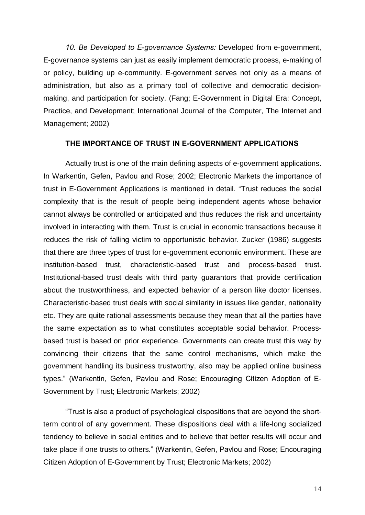10. Be Developed to E-governance Systems: Developed from e-government, E-governance systems can just as easily implement democratic process, e-making of or policy, building up e-community. E-government serves not only as a means of administration, but also as a primary tool of collective and democratic decision making, and participation for society. (Fang; E-Government in Digital Era: Concept, Practice, and Development; International Journal of the Computer, The Internet and Management; 2002)

### THE IMPORTANCE OF TRUST IN E-GOVERNMENT APPLICATIONS

Actually trust is one of the main defining aspects of e-government applications. In Warkentin, Gefen, Pavlou and Rose; 2002; Electronic Markets the importance of trust in E-Government Applications is mentioned in detail. "Trust reduces the social complexity that is the result of people being independent agents whose behavior cannot always be controlled or anticipated and thus reduces the risk and uncertainty involved in interacting with them. Trust is crucial in economic transactions because it reduces the risk of falling victim to opportunistic behavior. Zucker (1986) suggests that there are three types of trust for e-government economic environment. These are institution-based trust, characteristic-based trust and process-based trust. Institutional-based trust deals with third party guarantors that provide certification about the trustworthiness, and expected behavior of a person like doctor licenses. Characteristic-based trust deals with social similarity in issues like gender, nationality etc. They are quite rational assessments because they mean that all the parties have the same expectation as to what constitutes acceptable social behavior. Processbased trust is based on prior experience. Governments can create trust this way by convincing their citizens that the same control mechanisms, which make the government handling its business trustworthy, also may be applied online business types.î (Warkentin, Gefen, Pavlou and Rose; Encouraging Citizen Adoption of E- Government by Trust; Electronic Markets; 2002)

ìTrust is also a product of psychological dispositions that are beyond the shortterm control of any government. These dispositions deal with a life-long socialized tendency to believe in social entities and to believe that better results will occur and take place if one trusts to others." (Warkentin, Gefen, Pavlou and Rose; Encouraging Citizen Adoption of E-Government by Trust; Electronic Markets; 2002)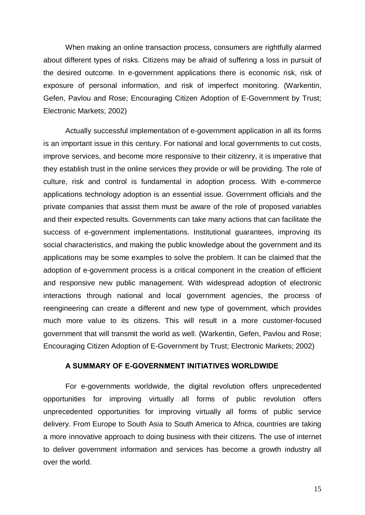When making an online transaction process, consumers are rightfully alarmed about different types of risks. Citizens may be afraid of suffering a loss in pursuit of the desired outcome. In e-government applications there is economic risk, risk of exposure of personal information, and risk of imperfect monitoring. (Warkentin, Gefen, Pavlou and Rose; Encouraging Citizen Adoption of E-Government by Trust; Electronic Markets; 2002)

Actually successful implementation of e-government application in all its forms is an important issue in this century. For national and local governments to cut costs, improve services, and become more responsive to their citizenry, it is imperative that they establish trust in the online services they provide or will be providing. The role of culture, risk and control is fundamental in adoption process. With e-commerce applications technology adoption is an essential issue. Government officials and the private companies that assist them must be aware of the role of proposed variables and their expected results. Governments can take many actions that can facilitate the success of e-government implementations. Institutional guarantees, improving its social characteristics, and making the public knowledge about the government and its applications may be some examples to solve the problem. It can be claimed that the adoption of e-government process is a critical component in the creation of efficient and responsive new public management. With widespread adoption of electronic interactions through national and local government agencies, the process of reengineering can create a different and new type of government, which provides much more value to its citizens. This will result in a more customer-focused government that will transmit the world as well. (Warkentin, Gefen, Pavlou and Rose; Encouraging Citizen Adoption of E-Government by Trust; Electronic Markets; 2002)

#### A SUMMARY OF E-GOVERNMENT INITIATIVES WORLDWIDE

For e-governments worldwide, the digital revolution offers unprecedented opportunities for improving virtually all forms of public revolution offers unprecedented opportunities for improving virtually all forms of public service delivery. From Europe to South Asia to South America to Africa, countries are taking a more innovative approach to doing business with their citizens. The use of internet to deliver government information and services has become a growth industry all over the world.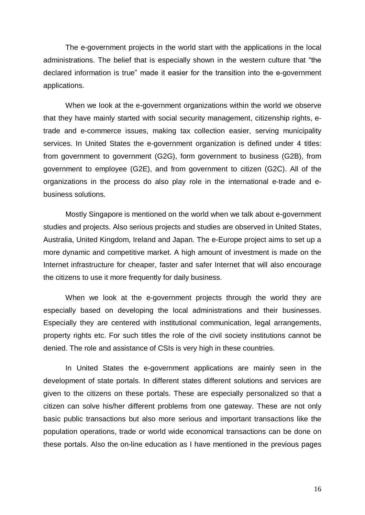The e-government projects in the world start with the applications in the local administrations. The belief that is especially shown in the western culture that "the declared information is true" made it easier for the transition into the e-government applications.

When we look at the e-government organizations within the world we observe that they have mainly started with social security management, citizenship rights, etrade and e-commerce issues, making tax collection easier, serving municipality services. In United States the e-government organization is defined under 4 titles: from government to government (G2G), form government to business (G2B), from government to employee (G2E), and from government to citizen (G2C). All of the organizations in the process do also play role in the international e-trade and e business solutions.

Mostly Singapore is mentioned on the world when we talk about e-government studies and projects. Also serious projects and studies are observed in United States, Australia, United Kingdom, Ireland and Japan. The e-Europe project aims to set up a more dynamic and competitive market. A high amount of investment is made on the Internet infrastructure for cheaper, faster and safer Internet that will also encourage the citizens to use it more frequently for daily business.

When we look at the e-government projects through the world they are especially based on developing the local administrations and their businesses. Especially they are centered with institutional communication, legal arrangements, property rights etc. For such titles the role of the civil society institutions cannot be denied. The role and assistance of CSIs is very high in these countries.

In United States the e-government applications are mainly seen in the development of state portals. In different states different solutions and services are given to the citizens on these portals. These are especially personalized so that a citizen can solve his/her different problems from one gateway. These are not only basic public transactions but also more serious and important transactions like the population operations, trade or world wide economical transactions can be done on these portals. Also the on-line education as I have mentioned in the previous pages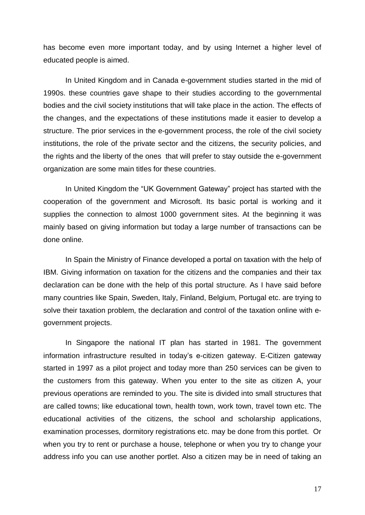has become even more important today, and by using Internet a higher level of educated people is aimed.

In United Kingdom and in Canada e-government studies started in the mid of 1990s. these countries gave shape to their studies according to the governmental bodies and the civil society institutions that will take place in the action. The effects of the changes, and the expectations of these institutions made it easier to develop a structure. The prior services in the e-government process, the role of the civil society institutions, the role of the private sector and the citizens, the security policies, and the rights and the liberty of the ones that will prefer to stay outside the e-government organization are some main titles for these countries.

In United Kingdom the "UK Government Gateway" project has started with the cooperation of the government and Microsoft. Its basic portal is working and it supplies the connection to almost 1000 government sites. At the beginning it was mainly based on giving information but today a large number of transactions can be done online.

In Spain the Ministry of Finance developed a portal on taxation with the help of IBM. Giving information on taxation for the citizens and the companies and their tax declaration can be done with the help of this portal structure. As Ihave said before many countries like Spain, Sweden, Italy, Finland, Belgium, Portugal etc. are trying to solve their taxation problem, the declaration and control of the taxation online with e government projects.

In Singapore the national IT plan has started in 1981. The government information infrastructure resulted in todayís e-citizen gateway. E-Citizen gateway started in 1997 as a pilot project and today more than 250 services can be given to the customers from this gateway. When you enter to the site as citizen A, your previous operations are reminded to you. The site is divided into small structures that are called towns; like educational town, health town, work town, travel town etc. The educational activities of the citizens, the school and scholarship applications, examination processes, dormitory registrations etc. may be done from this portlet. Or when you try to rent or purchase a house, telephone or when you try to change your address info you can use another portlet. Also a citizen may be in need of taking an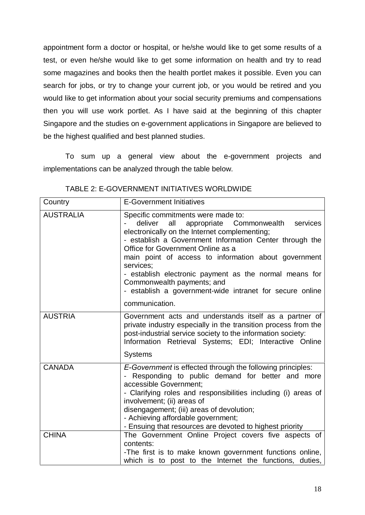appointment form a doctor or hospital, or he/she would like to get some results of a test, or even he/she would like to get some information on health and try to read some magazines and books then the health portlet makes it possible. Even you can search for jobs, or try to change your current job, or you would be retired and you would like to get information about your social security premiums and compensations then you will use work portlet. As I have said at the beginning of this chapter Singapore and the studies on e-government applications in Singapore are believed to be the highest qualified and best planned studies.

To sum up a general view about the e-government projects and implementations can be analyzed through the table below.

| Country          | <b>E-Government Initiatives</b>                                                                                                                                                                                                                                                                                                                                                                                                                                                          |
|------------------|------------------------------------------------------------------------------------------------------------------------------------------------------------------------------------------------------------------------------------------------------------------------------------------------------------------------------------------------------------------------------------------------------------------------------------------------------------------------------------------|
| <b>AUSTRALIA</b> | Specific commitments were made to:<br>all<br>deliver<br>appropriate Commonwealth<br>services<br>electronically on the Internet complementing;<br>- establish a Government Information Center through the<br>Office for Government Online as a<br>main point of access to information about government<br>services;<br>- establish electronic payment as the normal means for<br>Commonwealth payments; and<br>- establish a government-wide intranet for secure online<br>communication. |
| <b>AUSTRIA</b>   | Government acts and understands itself as a partner of<br>private industry especially in the transition process from the<br>post-industrial service society to the information society:<br>Information Retrieval Systems; EDI; Interactive Online<br>Systems                                                                                                                                                                                                                             |
| <b>CANADA</b>    | E-Government is effected through the following principles:<br>- Responding to public demand for better and more<br>accessible Government:<br>- Clarifying roles and responsibilities including (i) areas of<br>involvement; (ii) areas of<br>disengagement; (iii) areas of devolution;<br>- Achieving affordable government;<br>- Ensuing that resources are devoted to highest priority                                                                                                 |
| <b>CHINA</b>     | The Government Online Project covers five aspects of<br>contents:<br>-The first is to make known government functions online,<br>which is to post to the Internet the functions, duties,                                                                                                                                                                                                                                                                                                 |

TABLE 2: E-GOVERNMENT INITIATIVES WORLDWIDE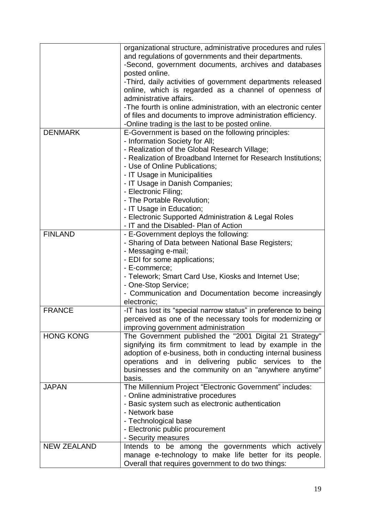|                    | organizational structure, administrative procedures and rules<br>and regulations of governments and their departments.<br>-Second, government documents, archives and databases<br>posted online.<br>-Third, daily activities of government departments released<br>online, which is regarded as a channel of openness of<br>administrative affairs.<br>-The fourth is online administration, with an electronic center<br>of files and documents to improve administration efficiency.<br>-Online trading is the last to be posted online. |
|--------------------|---------------------------------------------------------------------------------------------------------------------------------------------------------------------------------------------------------------------------------------------------------------------------------------------------------------------------------------------------------------------------------------------------------------------------------------------------------------------------------------------------------------------------------------------|
| <b>DENMARK</b>     | E-Government is based on the following principles:<br>- Information Society for All;<br>- Realization of the Global Research Village;<br>- Realization of Broadband Internet for Research Institutions;<br>- Use of Online Publications;<br>- IT Usage in Municipalities<br>- IT Usage in Danish Companies;<br>- Electronic Filing;<br>- The Portable Revolution;<br>- IT Usage in Education;                                                                                                                                               |
|                    | - Electronic Supported Administration & Legal Roles                                                                                                                                                                                                                                                                                                                                                                                                                                                                                         |
| <b>FINLAND</b>     | - IT and the Disabled- Plan of Action<br>- E-Government deploys the following:                                                                                                                                                                                                                                                                                                                                                                                                                                                              |
|                    | - Sharing of Data between National Base Registers;<br>- Messaging e-mail;<br>- EDI for some applications;<br>- E-commerce;<br>- Telework; Smart Card Use, Kiosks and Internet Use;<br>- One-Stop Service;<br>- Communication and Documentation become increasingly<br>electronic;                                                                                                                                                                                                                                                           |
| <b>FRANCE</b>      | -IT has lost its "special narrow status" in preference to being<br>perceived as one of the necessary tools for modernizing or<br>improving government administration                                                                                                                                                                                                                                                                                                                                                                        |
| <b>HONG KONG</b>   | The Government published the "2001 Digital 21 Strategy"<br>signifying its firm commitment to lead by example in the<br>adoption of e-business, both in conducting internal business<br>operations and in delivering public services to the<br>businesses and the community on an "anywhere anytime"<br>basis.                                                                                                                                                                                                                               |
| <b>JAPAN</b>       | The Millennium Project "Electronic Government" includes:<br>- Online administrative procedures<br>- Basic system such as electronic authentication<br>- Network base<br>- Technological base<br>- Electronic public procurement<br>- Security measures                                                                                                                                                                                                                                                                                      |
| <b>NEW ZEALAND</b> | Intends to be among the governments which actively                                                                                                                                                                                                                                                                                                                                                                                                                                                                                          |
|                    | manage e-technology to make life better for its people.<br>Overall that requires government to do two things:                                                                                                                                                                                                                                                                                                                                                                                                                               |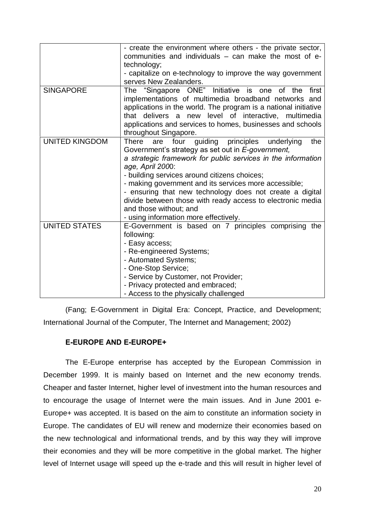|                       | - create the environment where others - the private sector,<br>communities and individuals – can make the most of e-<br>technology;<br>- capitalize on e-technology to improve the way government<br>serves New Zealanders.                                                                                                                                                                                                                                                                                     |
|-----------------------|-----------------------------------------------------------------------------------------------------------------------------------------------------------------------------------------------------------------------------------------------------------------------------------------------------------------------------------------------------------------------------------------------------------------------------------------------------------------------------------------------------------------|
| <b>SINGAPORE</b>      | The "Singapore ONE" Initiative is one<br>of the<br>first<br>implementations of multimedia broadband networks and<br>applications in the world. The program is a national initiative<br>that delivers a new level of interactive, multimedia<br>applications and services to homes, businesses and schools<br>throughout Singapore.                                                                                                                                                                              |
| <b>UNITED KINGDOM</b> | <b>There</b><br>four guiding principles underlying<br>the<br>are<br>Government's strategy as set out in E-government,<br>a strategic framework for public services in the information<br>age, April 2000:<br>- building services around citizens choices;<br>- making government and its services more accessible;<br>- ensuring that new technology does not create a digital<br>divide between those with ready access to electronic media<br>and those without; and<br>- using information more effectively. |
| <b>UNITED STATES</b>  | E-Government is based on 7 principles comprising the<br>following:<br>- Easy access;<br>- Re-engineered Systems;<br>- Automated Systems;<br>- One-Stop Service;<br>- Service by Customer, not Provider;<br>- Privacy protected and embraced;<br>- Access to the physically challenged                                                                                                                                                                                                                           |

(Fang; E-Government in Digital Era: Concept, Practice, and Development; International Journal of the Computer, The Internet and Management; 2002)

# E-EUROPE AND E-EUROPE+

The E-Europe enterprise has accepted by the European Commission in December 1999. It is mainly based on Internet and the new economy trends. Cheaper and faster Internet, higher level of investment into the human resources and to encourage the usage of Internet were the main issues. And in June 2001 e- Europe+ was accepted. It is based on the aim to constitute an information society in Europe. The candidates of EU will renew and modernize their economies based on the new technological and informational trends, and by this way they will improve their economies and they will be more competitive in the global market. The higher level of Internet usage will speed up the e-trade and this will result in higher level of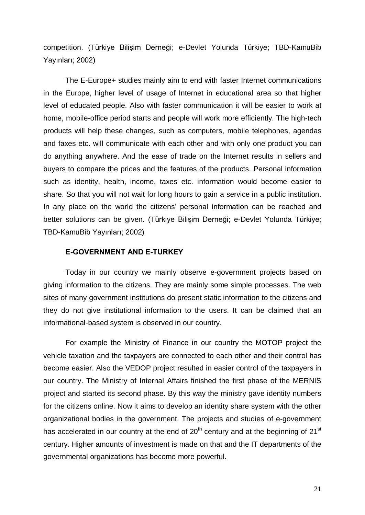competition. (Türkiye Bilişim Derneği; e-Devlet Yolunda Türkiye; TBD-KamuBib Yayınları; 2002)

The E-Europe+ studies mainly aim to end with faster Internet communications in the Europe, higher level of usage of Internet in educational area so that higher level of educated people. Also with faster communication it will be easier to work at home, mobile-office period starts and people will work more efficiently. The high-tech products will help these changes, such as computers, mobile telephones, agendas and faxes etc. will communicate with each other and with only one product you can do anything anywhere. And the ease of trade on the Internet results in sellers and buyers to compare the prices and the features of the products. Personal information such as identity, health, income, taxes etc. information would become easier to share. So that you will not wait for long hours to gain a service in a public institution. In any place on the world the citizens' personal information can be reached and better solutions can be given. (Türkiye Bilişim Derneği; e-Devlet Yolunda Türkiye; TBD-KamuBib Yayınları; 2002)

#### E-GOVERNMENT AND E-TURKEY

Today in our country we mainly observe e-government projects based on giving information to the citizens. They are mainly some simple processes. The web sites of many government institutions do present static information to the citizens and they do not give institutional information to the users. It can be claimed that an informational-based system is observed in our country.

For example the Ministry of Finance in our country the MOTOP project the vehicle taxation and the taxpayers are connected to each other and their control has become easier. Also the VEDOP project resulted in easier control of the taxpayers in our country. The Ministry of Internal Affairs finished the first phase of the MERNIS project and started its second phase. By this way the ministry gave identity numbers for the citizens online. Now it aims to develop an identity share system with the other organizational bodies in the government. The projects and studies of e-government has accelerated in our country at the end of 20<sup>th</sup> century and at the beginning of 21<sup>st</sup> century. Higher amounts of investment is made on that and the IT departments of the governmental organizations has become more powerful.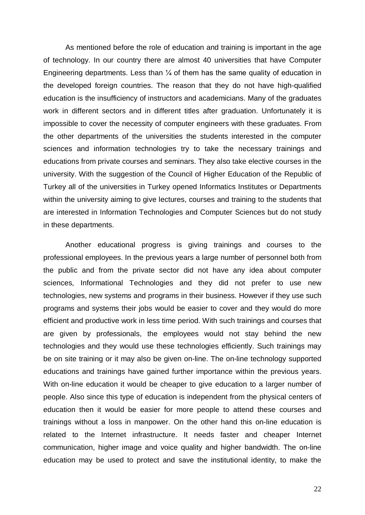As mentioned before the role of education and training is important in the age of technology. In our country there are almost 40 universities that have Computer Engineering departments. Less than  $\frac{1}{4}$  of them has the same quality of education in the developed foreign countries. The reason that they do not have high-qualified education is the insufficiency of instructors and academicians. Many of the graduates work in different sectors and in different titles after graduation. Unfortunately it is impossible to cover the necessity of computer engineers with these graduates. From the other departments of the universities the students interested in the computer sciences and information technologies try to take the necessary trainings and educations from private courses and seminars. They also take elective courses in the university. With the suggestion of the Council of Higher Education of the Republic of Turkey all of the universities in Turkey opened Informatics Institutes or Departments within the university aiming to give lectures, courses and training to the students that are interested in Information Technologies and Computer Sciences but do not study in these departments.

Another educational progress is giving trainings and courses to the professional employees. In the previous years a large number of personnel both from the public and from the private sector did not have any idea about computer sciences, Informational Technologies and they did not prefer to use new technologies, new systems and programs in their business. However if they use such programs and systems their jobs would be easier to cover and they would do more efficient and productive work in less time period. With such trainings and courses that are given by professionals, the employees would not stay behind the new technologies and they would use these technologies efficiently. Such trainings may be on site training or it may also be given on-line. The on-line technology supported educations and trainings have gained further importance within the previous years. With on-line education it would be cheaper to give education to a larger number of people. Also since this type of education is independent from the physical centers of education then it would be easier for more people to attend these courses and trainings without a loss in manpower. On the other hand this on-line education is related to the Internet infrastructure. It needs faster and cheaper Internet communication, higher image and voice quality and higher bandwidth. The on-line education may be used to protect and save the institutional identity, to make the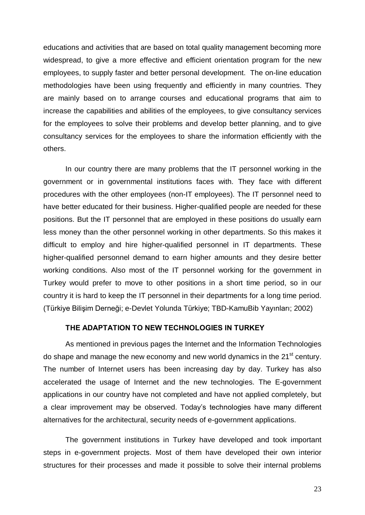educations and activities that are based on total quality management becoming more widespread, to give a more effective and efficient orientation program for the new employees, to supply faster and better personal development. The on-line education methodologies have been using frequently and efficiently in many countries. They are mainly based on to arrange courses and educational programs that aim to increase the capabilities and abilities of the employees, to give consultancy services for the employees to solve their problems and develop better planning, and to give consultancy services for the employees to share the information efficiently with the others.

In our country there are many problems that the IT personnel working in the government or in governmental institutions faces with. They face with different procedures with the other employees (non-IT employees). The IT personnel need to have better educated for their business. Higher-qualified people are needed for these positions. But the IT personnel that are employed in these positions do usually earn less money than the other personnel working in other departments. So this makes it difficult to employ and hire higher-qualified personnel in IT departments. These higher-qualified personnel demand to earn higher amounts and they desire better working conditions. Also most of the IT personnel working for the government in Turkey would prefer to move to other positions in a short time period, so in our country it is hard to keep the IT personnel in their departments for a long time period. (Türkiye Bilişim Derneği; e-Devlet Yolunda Türkiye; TBD-KamuBib Yayınları; 2002)

### THE ADAPTATION TO NEW TECHNOLOGIES IN TURKEY

As mentioned in previous pages the Internet and the Information Technologies do shape and manage the new economy and new world dynamics in the 21<sup>st</sup> century. The number of Internet users has been increasing day by day. Turkey has also accelerated the usage of Internet and the new technologies. The E-government applications in our country have not completed and have not applied completely, but a clear improvement may be observed. Todayís technologies have many different alternatives for the architectural, security needs of e-government applications.

The government institutions in Turkey have developed and took important steps in e-government projects. Most of them have developed their own interior structures for their processes and made it possible to solve their internal problems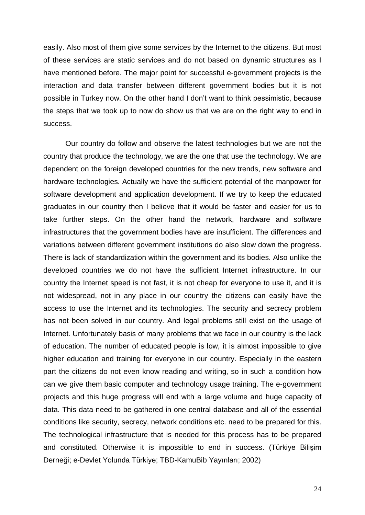easily. Also most of them give some services by the Internet to the citizens. But most of these services are static services and do not based on dynamic structures as I have mentioned before. The major point for successful e-government projects is the interaction and data transfer between different government bodies but it is not possible in Turkey now. On the other hand I don't want to think pessimistic, because the steps that we took up to now do show us that we are on the right way to end in success.

Our country do follow and observe the latest technologies but we are not the country that produce the technology, we are the one that use the technology. We are dependent on the foreign developed countries for the new trends, new software and hardware technologies. Actually we have the sufficient potential of the manpower for software development and application development. If we try to keep the educated graduates in our country then I believe that it would be faster and easier for us to take further steps. On the other hand the network, hardware and software infrastructures that the government bodies have are insufficient. The differences and variations between different government institutions do also slow down the progress. There is lack of standardization within the government and its bodies. Also unlike the developed countries we do not have the sufficient Internet infrastructure. In our country the Internet speed is not fast, it is not cheap for everyone to use it, and it is not widespread, not in any place in our country the citizens can easily have the access to use the Internet and its technologies. The security and secrecy problem has not been solved in our country. And legal problems still exist on the usage of Internet. Unfortunately basis of many problems that we face in our country is the lack of education. The number of educated people is low, it is almost impossible to give higher education and training for everyone in our country. Especially in the eastern part the citizens do not even know reading and writing, so in such a condition how can we give them basic computer and technology usage training. The e-government projects and this huge progress will end with a large volume and huge capacity of data. This data need to be gathered in one central database and all of the essential conditions like security, secrecy, network conditions etc. need to be prepared for this. The technological infrastructure that is needed for this process has to be prepared and constituted. Otherwise it is impossible to end in success. (Türkiye Bilişim Derneği; e-Devlet Yolunda Türkiye; TBD-KamuBib Yayınları; 2002)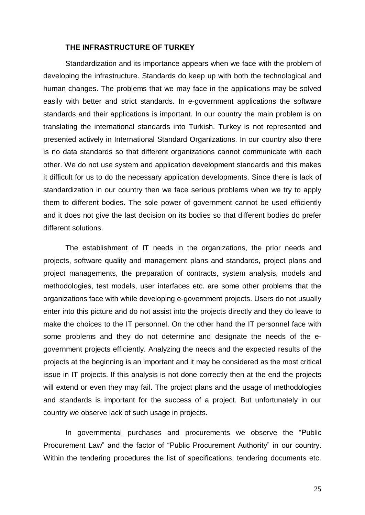#### THE INFRASTRUCTURE OF TURKEY

Standardization and its importance appears when we face with the problem of developing the infrastructure. Standards do keep up with both the technological and human changes. The problems that we may face in the applications may be solved easily with better and strict standards. In e-government applications the software standards and their applications is important. In our country the main problem is on translating the international standards into Turkish. Turkey is not represented and presented actively in International Standard Organizations. In our country also there is no data standards so that different organizations cannot communicate with each other. We do not use system and application development standards and this makes it difficult for us to do the necessary application developments. Since there is lack of standardization in our country then we face serious problems when we try to apply them to different bodies. The sole power of government cannot be used efficiently and it does not give the last decision on its bodies so that different bodies do prefer different solutions.

The establishment of IT needs in the organizations, the prior needs and projects, software quality and management plans and standards, project plans and project managements, the preparation of contracts, system analysis, models and methodologies, test models, user interfaces etc. are some other problems that the organizations face with while developing e-government projects. Users do not usually enter into this picture and do not assist into the projects directly and they do leave to make the choices to the IT personnel. On the other hand the IT personnel face with some problems and they do not determine and designate the needs of the e government projects efficiently. Analyzing the needs and the expected results of the projects at the beginning is an important and it may be considered as the most critical issue in IT projects. If this analysis is not done correctly then at the end the projects will extend or even they may fail. The project plans and the usage of methodologies and standards is important for the success of a project. But unfortunately in our country we observe lack of such usage in projects.

In governmental purchases and procurements we observe the "Public Procurement Law" and the factor of "Public Procurement Authority" in our country. Within the tendering procedures the list of specifications, tendering documents etc.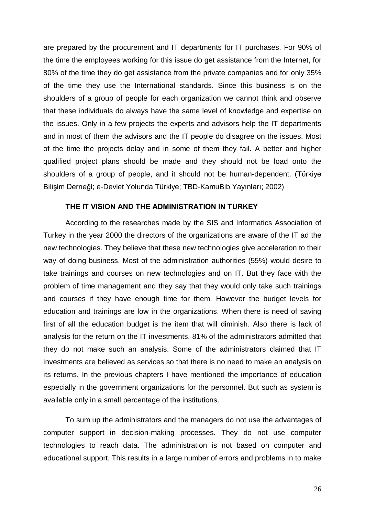are prepared by the procurement and IT departments for IT purchases. For 90% of the time the employees working for this issue do get assistance from the Internet, for 80% of the time they do get assistance from the private companies and for only 35% of the time they use the International standards. Since this business is on the shoulders of a group of people for each organization we cannot think and observe that these individuals do always have the same level of knowledge and expertise on the issues. Only in a few projects the experts and advisors help the IT departments and in most of them the advisors and the IT people do disagree on the issues. Most of the time the projects delay and in some of them they fail. A better and higher qualified project plans should be made and they should not be load onto the shoulders of a group of people, and it should not be human-dependent. (Türkiye Bilişim Derneği; e-Devlet Yolunda Türkiye; TBD-KamuBib Yayınları; 2002)

#### THE IT VISION AND THE ADMINISTRATION IN TURKEY

According to the researches made by the SIS and Informatics Association of Turkey in the year 2000 the directors of the organizations are aware of the IT ad the new technologies. They believe that these new technologies give acceleration to their way of doing business. Most of the administration authorities (55%) would desire to take trainings and courses on new technologies and on IT. But they face with the problem of time management and they say that they would only take such trainings and courses if they have enough time for them. However the budget levels for education and trainings are low in the organizations. When there is need of saving first of all the education budget is the item that will diminish. Also there is lack of analysis for the return on the IT investments. 81% of the administrators admitted that they do not make such an analysis. Some of the administrators claimed that IT investments are believed as services so that there is no need to make an analysis on its returns. In the previous chapters I have mentioned the importance of education especially in the government organizations for the personnel. But such as system is available only in a small percentage of the institutions.

To sum up the administrators and the managers do not use the advantages of computer support in decision-making processes. They do not use computer technologies to reach data. The administration is not based on computer and educational support. This results in a large number of errors and problems in to make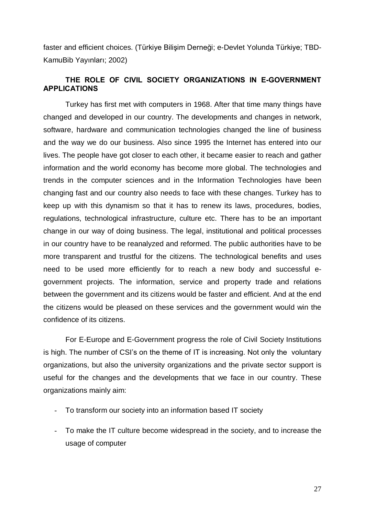faster and efficient choices. (Türkiye Bilişim Derneği; e-Devlet Yolunda Türkiye; TBD-KamuBib Yayınları; 2002)

# THE ROLE OF CIVIL SOCIETY ORGANIZATIONS IN E-GOVERNMENT APPLICATIONS

Turkey has first met with computers in 1968. After that time many things have changed and developed in our country. The developments and changes in network, software, hardware and communication technologies changed the line of business and the way we do our business. Also since 1995 the Internet has entered into our lives. The people have got closer to each other, it became easier to reach and gather information and the world economy has become more global. The technologies and trends in the computer sciences and in the Information Technologies have been changing fast and our country also needs to face with these changes. Turkey has to keep up with this dynamism so that it has to renew its laws, procedures, bodies, regulations, technological infrastructure, culture etc. There has to be an important change in our way of doing business. The legal, institutional and political processes in our country have to be reanalyzed and reformed. The public authorities have to be more transparent and trustful for the citizens. The technological benefits and uses need to be used more efficiently for to reach a new body and successful e government projects. The information, service and property trade and relations between the government and its citizens would be faster and efficient. And at the end the citizens would be pleased on these services and the government would win the confidence of its citizens.

For E-Europe and E-Government progress the role of Civil Society Institutions is high. The number of CSI's on the theme of IT is increasing. Not only the voluntary organizations, but also the university organizations and the private sector support is useful for the changes and the developments that we face in our country. These organizations mainly aim:

- To transform our society into an information based IT society
- To make the IT culture become widespread in the society, and to increase the usage of computer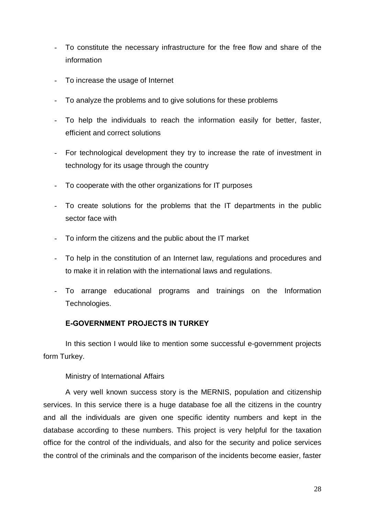- To constitute the necessary infrastructure for the free flow and share of the information
- To increase the usage of Internet
- To analyze the problems and to give solutions for these problems
- To help the individuals to reach the information easily for better, faster, efficient and correct solutions
- For technological development they try to increase the rate of investment in technology for its usage through the country
- To cooperate with the other organizations for IT purposes
- To create solutions for the problems that the IT departments in the public sector face with
- To inform the citizens and the public about the IT market
- To help in the constitution of an Internet law, regulations and procedures and to make it in relation with the international laws and regulations.
- To arrange educational programs and trainings on the Information Technologies.

### E-GOVERNMENT PROJECTS IN TURKEY

In this section I would like to mention some successful e-government projects form Turkey.

### Ministry of International Affairs

A very well known success story is the MERNIS, population and citizenship services. In this service there is a huge database foe all the citizens in the country and all the individuals are given one specific identity numbers and kept in the database according to these numbers. This project is very helpful for the taxation office for the control of the individuals, and also for the security and police services the control of the criminals and the comparison of the incidents become easier, faster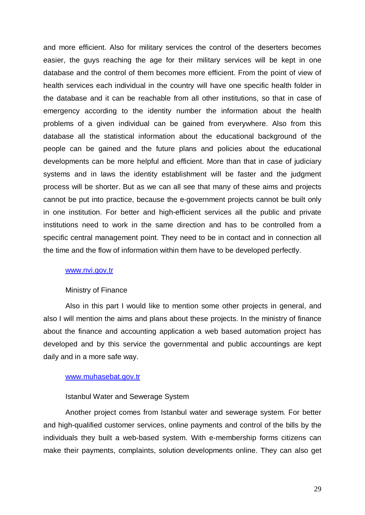and more efficient. Also for military services the control of the deserters becomes easier, the guys reaching the age for their military services will be kept in one database and the control of them becomes more efficient. From the point of view of health services each individual in the country will have one specific health folder in the database and it can be reachable from all other institutions, so that in case of emergency according to the identity number the information about the health problems of a given individual can be gained from everywhere. Also from this database all the statistical information about the educational background of the people can be gained and the future plans and policies about the educational developments can be more helpful and efficient. More than that in case of judiciary systems and in laws the identity establishment will be faster and the judgment process will be shorter. But as we can all see that many of these aims and projects cannot be put into practice, because the e-government projects cannot be built only in one institution. For better and high-efficient services all the public and private institutions need to work in the same direction and has to be controlled from a specific central management point. They need to be in contact and in connection all the time and the flow of information within them have to be developed perfectly.

#### [www.nvi.gov.tr](http://www.nvi.gov.tr)

#### Ministry of Finance

Also in this part I would like to mention some other projects in general, and also I will mention the aims and plans about these projects. In the ministry of finance about the finance and accounting application a web based automation project has developed and by this service the governmental and public accountings are kept daily and in a more safe way.

#### [www.muhasebat.gov.tr](http://www.muhasebat.gov.tr)

#### Istanbul Water and Sewerage System

Another project comes from Istanbul water and sewerage system. For better and high-qualified customer services, online payments and control of the bills by the individuals they built a web-based system. With e-membership forms citizens can make their payments, complaints, solution developments online. They can also get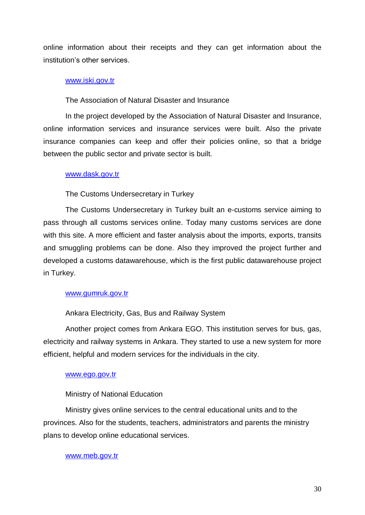online information about their receipts and they can get information about the institution's other services.

#### [www.iski.gov.tr](http://www.iski.gov.tr)

The Association of Natural Disaster and Insurance

In the project developed by the Association of Natural Disaster and Insurance, online information services and insurance services were built. Also the private insurance companies can keep and offer their policies online, so that a bridge between the public sector and private sector is built.

#### [www.dask.gov.tr](http://www.dask.gov.tr)

The Customs Undersecretary in Turkey

The Customs Undersecretary in Turkey built an e-customs service aiming to pass through all customs services online. Today many customs services are done with this site. A more efficient and faster analysis about the imports, exports, transits and smuggling problems can be done. Also they improved the project further and developed a customs datawarehouse, which is the first public datawarehouse project in Turkey.

#### [www.gumruk.gov.tr](http://www.gumruk.gov.tr)

#### Ankara Electricity, Gas, Bus and Railway System

Another project comes from Ankara EGO. This institution serves for bus, gas, electricity and railway systems in Ankara. They started to use a new system for more efficient, helpful and modern services for the individuals in the city.

#### [www.ego.gov.tr](http://www.ego.gov.tr)

#### Ministry of National Education

Ministry gives online services to the central educational units and to the provinces. Also for the students, teachers, administrators and parents the ministry plans to develop online educational services.

#### [www.meb.gov.tr](http://www.meb.gov.tr)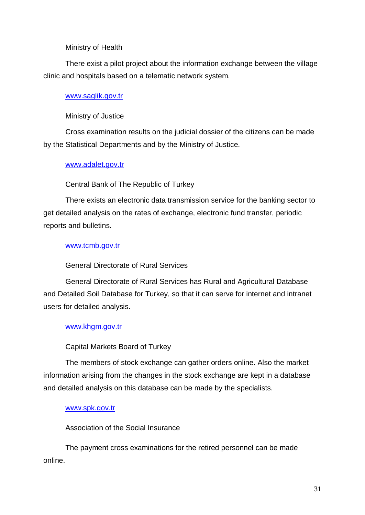## Ministry of Health

There exist a pilot project about the information exchange between the village clinic and hospitals based on a telematic network system.

## [www.saglik.gov.tr](http://www.saglik.gov.tr)

## Ministry of Justice

Cross examination results on the judicial dossier of the citizens can be made by the Statistical Departments and by the Ministry of Justice.

## [www.adalet.gov.tr](http://www.adalet.gov.tr)

# Central Bank of The Republic of Turkey

There exists an electronic data transmission service for the banking sector to get detailed analysis on the rates of exchange, electronic fund transfer, periodic reports and bulletins.

## [www.tcmb.gov.tr](http://www.tcmb.gov.tr)

# General Directorate of Rural Services

General Directorate of Rural Services has Rural and Agricultural Database and Detailed Soil Database for Turkey, so that it can serve for internet and intranet users for detailed analysis.

# [www.khgm.gov.tr](http://www.khgm.gov.tr)

# Capital Markets Board of Turkey

The members of stock exchange can gather orders online. Also the market information arising from the changes in the stock exchange are kept in a database and detailed analysis on this database can be made by the specialists.

### [www.spk.gov.tr](http://www.spk.gov.tr)

Association of the Social Insurance

The payment cross examinations for the retired personnel can be made online.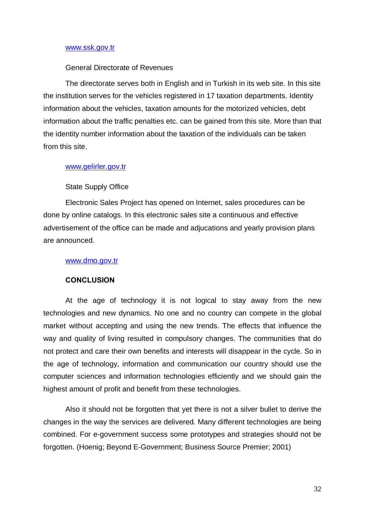#### [www.ssk.gov.tr](http://www.ssk.gov.tr)

#### General Directorate of Revenues

The directorate serves both in English and in Turkish in its web site. In this site the institution serves for the vehicles registered in 17 taxation departments. Identity information about the vehicles, taxation amounts for the motorized vehicles, debt information about the traffic penalties etc. can be gained from this site. More than that the identity number information about the taxation of the individuals can be taken from this site.

#### [www.gelirler.gov.tr](http://www.gelirler.gov.tr)

#### State Supply Office

Electronic Sales Project has opened on Internet, sales procedures can be done by online catalogs. In this electronic sales site a continuous and effective advertisement of the office can be made and adjucations and yearly provision plans are announced.

#### [www.dmo.gov.tr](http://www.dmo.gov.tr)

#### **CONCLUSION**

At the age of technology it is not logical to stay away from the new technologies and new dynamics. No one and no country can compete in the global market without accepting and using the new trends. The effects that influence the way and quality of living resulted in compulsory changes. The communities that do not protect and care their own benefits and interests will disappear in the cycle. So in the age of technology, information and communication our country should use the computer sciences and information technologies efficiently and we should gain the highest amount of profit and benefit from these technologies.

Also it should not be forgotten that yet there is not a silver bullet to derive the changes in the way the services are delivered. Many different technologies are being combined. For e-government success some prototypes and strategies should not be forgotten. (Hoenig; Beyond E-Government; Business Source Premier; 2001)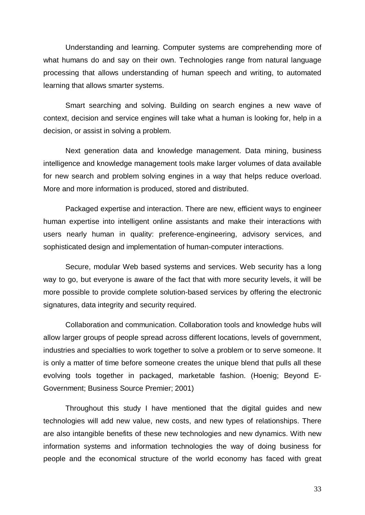Understanding and learning. Computer systems are comprehending more of what humans do and say on their own. Technologies range from natural language processing that allows understanding of human speech and writing, to automated learning that allows smarter systems.

Smart searching and solving. Building on search engines a new wave of context, decision and service engines will take what a human is looking for, help in a decision, or assist in solving a problem.

Next generation data and knowledge management. Data mining, business intelligence and knowledge management tools make larger volumes of data available for new search and problem solving engines in a way that helps reduce overload. More and more information is produced, stored and distributed.

Packaged expertise and interaction. There are new, efficient ways to engineer human expertise into intelligent online assistants and make their interactions with users nearly human in quality: preference-engineering, advisory services, and sophisticated design and implementation of human-computer interactions.

Secure, modular Web based systems and services. Web security has a long way to go, but everyone is aware of the fact that with more security levels, it will be more possible to provide complete solution-based services by offering the electronic signatures, data integrity and security required.

Collaboration and communication. Collaboration tools and knowledge hubs will allow larger groups of people spread across different locations, levels of government, industries and specialties to work together to solve a problem or to serve someone. It is only a matter of time before someone creates the unique blend that pulls all these evolving tools together in packaged, marketable fashion. (Hoenig; Beyond E- Government; Business Source Premier; 2001)

Throughout this study I have mentioned that the digital guides and new technologies will add new value, new costs, and new types of relationships. There are also intangible benefits of these new technologies and new dynamics. With new information systems and information technologies the way of doing business for people and the economical structure of the world economy has faced with great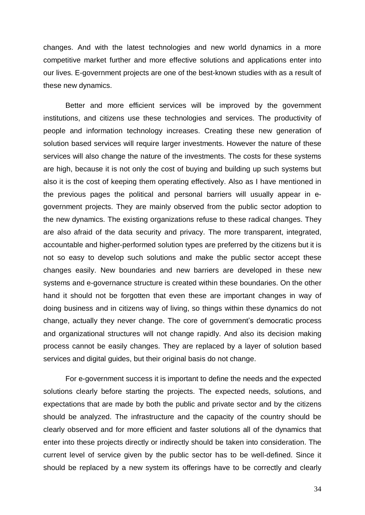changes. And with the latest technologies and new world dynamics in a more competitive market further and more effective solutions and applications enter into our lives. E-government projects are one of the best-known studies with as a result of these new dynamics.

Better and more efficient services will be improved by the government institutions, and citizens use these technologies and services. The productivity of people and information technology increases. Creating these new generation of solution based services will require larger investments. However the nature of these services will also change the nature of the investments. The costs for these systems are high, because it is not only the cost of buying and building up such systems but also it is the cost of keeping them operating effectively. Also as I have mentioned in the previous pages the political and personal barriers will usually appear in e government projects. They are mainly observed from the public sector adoption to the new dynamics. The existing organizations refuse to these radical changes. They are also afraid of the data security and privacy. The more transparent, integrated, accountable and higher-performed solution types are preferred by the citizens but it is not so easy to develop such solutions and make the public sector accept these changes easily. New boundaries and new barriers are developed in these new systems and e-governance structure is created within these boundaries. On the other hand it should not be forgotten that even these are important changes in way of doing business and in citizens way of living, so things within these dynamics do not change, actually they never change. The core of government's democratic process and organizational structures will not change rapidly. And also its decision making process cannot be easily changes. They are replaced by a layer of solution based services and digital guides, but their original basis do not change.

For e-government success it is important to define the needs and the expected solutions clearly before starting the projects. The expected needs, solutions, and expectations that are made by both the public and private sector and by the citizens should be analyzed. The infrastructure and the capacity of the country should be clearly observed and for more efficient and faster solutions all of the dynamics that enter into these projects directly or indirectly should be taken into consideration. The current level of service given by the public sector has to be well-defined. Since it should be replaced by a new system its offerings have to be correctly and clearly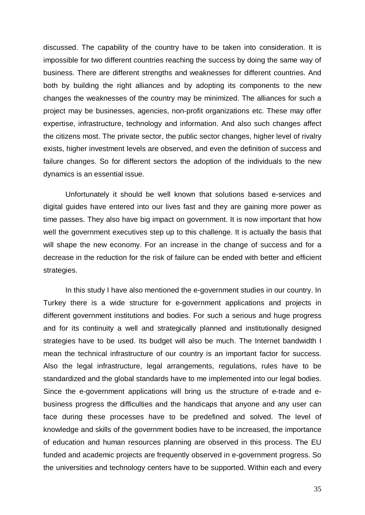discussed. The capability of the country have to be taken into consideration. It is impossible for two different countries reaching the success by doing the same way of business. There are different strengths and weaknesses for different countries. And both by building the right alliances and by adopting its components to the new changes the weaknesses of the country may be minimized. The alliances for such a project may be businesses, agencies, non-profit organizations etc. These may offer expertise, infrastructure, technology and information. And also such changes affect the citizens most. The private sector, the public sector changes, higher level of rivalry exists, higher investment levels are observed, and even the definition of success and failure changes. So for different sectors the adoption of the individuals to the new dynamics is an essential issue.

Unfortunately it should be well known that solutions based e-services and digital guides have entered into our lives fast and they are gaining more power as time passes. They also have big impact on government. It is now important that how well the government executives step up to this challenge. It is actually the basis that will shape the new economy. For an increase in the change of success and for a decrease in the reduction for the risk of failure can be ended with better and efficient strategies.

In this study I have also mentioned the e-government studies in our country. In Turkey there is a wide structure for e-government applications and projects in different government institutions and bodies. For such a serious and huge progress and for its continuity a well and strategically planned and institutionally designed strategies have to be used. Its budget will also be much. The Internet bandwidth I mean the technical infrastructure of our country is an important factor for success. Also the legal infrastructure, legal arrangements, regulations, rules have to be standardized and the global standards have to me implemented into our legal bodies. Since the e-government applications will bring us the structure of e-trade and e business progress the difficulties and the handicaps that anyone and any user can face during these processes have to be predefined and solved. The level of knowledge and skills of the government bodies have to be increased, the importance of education and human resources planning are observed in this process. The EU funded and academic projects are frequently observed in e-government progress. So the universities and technology centers have to be supported. Within each and every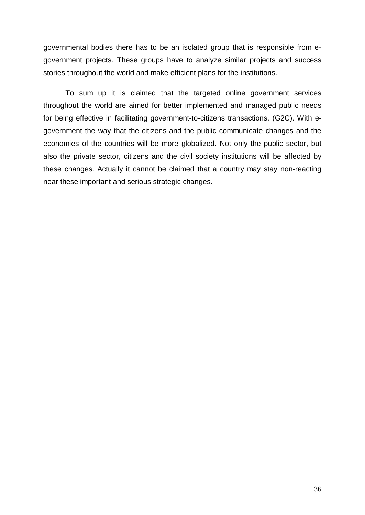governmental bodies there has to be an isolated group that is responsible from e government projects. These groups have to analyze similar projects and success stories throughout the world and make efficient plans for the institutions.

To sum up it is claimed that the targeted online government services throughout the world are aimed for better implemented and managed public needs for being effective in facilitating government-to-citizens transactions. (G2C). With egovernment the way that the citizens and the public communicate changes and the economies of the countries will be more globalized. Not only the public sector, but also the private sector, citizens and the civil society institutions will be affected by these changes. Actually it cannot be claimed that a country may stay non-reacting near these important and serious strategic changes.